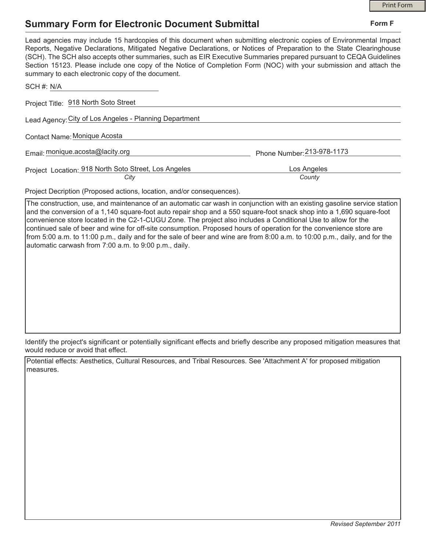**Form F**

# **Summary Form for Electronic Document Submittal**

| Lead agencies may include 15 hardcopies of this document when submitting electronic copies of Environmental Impact<br>Reports, Negative Declarations, Mitigated Negative Declarations, or Notices of Preparation to the State Clearinghouse<br>(SCH). The SCH also accepts other summaries, such as EIR Executive Summaries prepared pursuant to CEQA Guidelines<br>Section 15123. Please include one copy of the Notice of Completion Form (NOC) with your submission and attach the<br>summary to each electronic copy of the document. |                            |
|-------------------------------------------------------------------------------------------------------------------------------------------------------------------------------------------------------------------------------------------------------------------------------------------------------------------------------------------------------------------------------------------------------------------------------------------------------------------------------------------------------------------------------------------|----------------------------|
| SCH #: N/A                                                                                                                                                                                                                                                                                                                                                                                                                                                                                                                                |                            |
| Project Title: 918 North Soto Street                                                                                                                                                                                                                                                                                                                                                                                                                                                                                                      |                            |
| Lead Agency: City of Los Angeles - Planning Department                                                                                                                                                                                                                                                                                                                                                                                                                                                                                    |                            |
| Contact Name: Monique Acosta                                                                                                                                                                                                                                                                                                                                                                                                                                                                                                              |                            |
| Email: monique.acosta@lacity.org                                                                                                                                                                                                                                                                                                                                                                                                                                                                                                          | Phone Number: 213-978-1173 |
| Project Location: 918 North Soto Street, Los Angeles                                                                                                                                                                                                                                                                                                                                                                                                                                                                                      | Los Angeles                |
| City                                                                                                                                                                                                                                                                                                                                                                                                                                                                                                                                      | County                     |

Project Decription (Proposed actions, location, and/or consequences).

The construction, use, and maintenance of an automatic car wash in conjunction with an existing gasoline service station and the conversion of a 1,140 square-foot auto repair shop and a 550 square-foot snack shop into a 1,690 square-foot convenience store located in the C2-1-CUGU Zone. The project also includes a Conditional Use to allow for the continued sale of beer and wine for off-site consumption. Proposed hours of operation for the convenience store are from 5:00 a.m. to 11:00 p.m., daily and for the sale of beer and wine are from 8:00 a.m. to 10:00 p.m., daily, and for the automatic carwash from 7:00 a.m. to 9:00 p.m., daily.

Identify the project's significant or potentially significant effects and briefly describe any proposed mitigation measures that would reduce or avoid that effect.

Potential effects: Aesthetics, Cultural Resources, and Tribal Resources. See 'Attachment A' for proposed mitigation measures.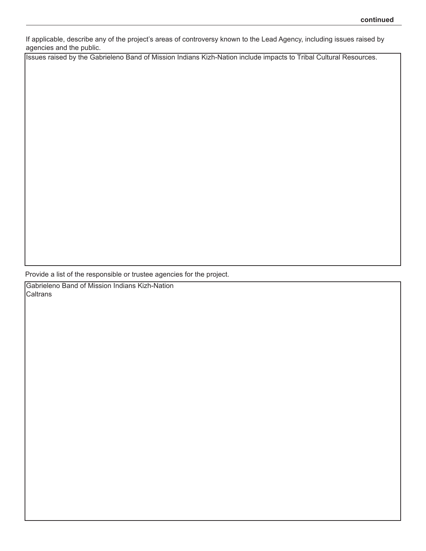If applicable, describe any of the project's areas of controversy known to the Lead Agency, including issues raised by agencies and the public.

Issues raised by the Gabrieleno Band of Mission Indians Kizh-Nation include impacts to Tribal Cultural Resources.

Provide a list of the responsible or trustee agencies for the project.

Gabrieleno Band of Mission Indians Kizh-Nation Caltrans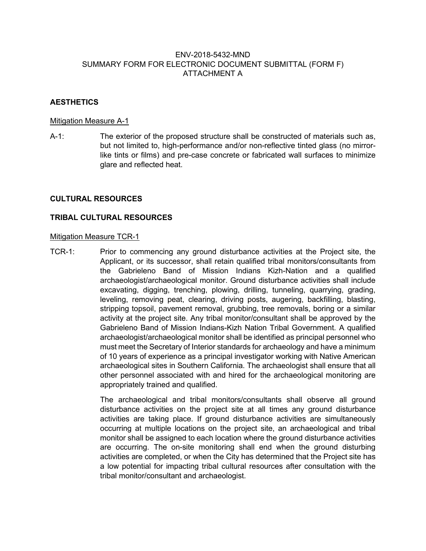## ENV-2018-5432-MND SUMMARY FORM FOR ELECTRONIC DOCUMENT SUBMITTAL (FORM F) ATTACHMENT A

# **AESTHETICS**

#### Mitigation Measure A-1

A-1: The exterior of the proposed structure shall be constructed of materials such as, but not limited to, high-performance and/or non-reflective tinted glass (no mirrorlike tints or films) and pre-case concrete or fabricated wall surfaces to minimize glare and reflected heat.

#### **CULTURAL RESOURCES**

## **TRIBAL CULTURAL RESOURCES**

#### **Mitigation Measure TCR-1**

TCR-1: Prior to commencing any ground disturbance activities at the Project site, the Applicant, or its successor, shall retain qualified tribal monitors/consultants from the Gabrieleno Band of Mission Indians Kizh-Nation and a qualified archaeologist/archaeological monitor. Ground disturbance activities shall include excavating, digging, trenching, plowing, drilling, tunneling, quarrying, grading, leveling, removing peat, clearing, driving posts, augering, backfilling, blasting, stripping topsoil, pavement removal, grubbing, tree removals, boring or a similar activity at the project site. Any tribal monitor/consultant shall be approved by the Gabrieleno Band of Mission Indians-Kizh Nation Tribal Government. A qualified archaeologist/archaeological monitor shall be identified as principal personnel who must meet the Secretary of Interior standards for archaeology and have a minimum of 10 years of experience as a principal investigator working with Native American archaeological sites in Southern California. The archaeologist shall ensure that all other personnel associated with and hired for the archaeological monitoring are appropriately trained and qualified.

> The archaeological and tribal monitors/consultants shall observe all ground disturbance activities on the project site at all times any ground disturbance activities are taking place. If ground disturbance activities are simultaneously occurring at multiple locations on the project site, an archaeological and tribal monitor shall be assigned to each location where the ground disturbance activities are occurring. The on-site monitoring shall end when the ground disturbing activities are completed, or when the City has determined that the Project site has a low potential for impacting tribal cultural resources after consultation with the tribal monitor/consultant and archaeologist.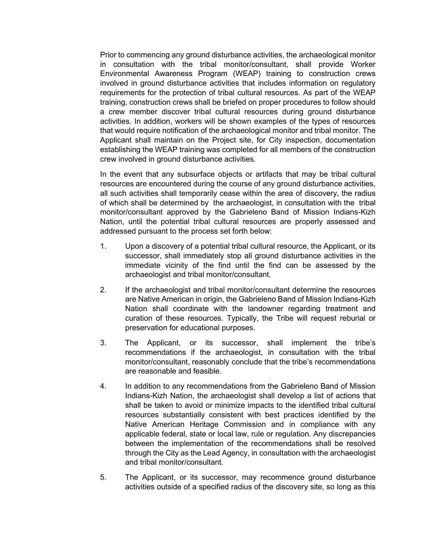Prior to commencing any ground disturbance activities, the archaeological monitor in consultation with the tribal monitor/consultant, shall provide Worker Environmental Awareness Program (WEAP) training to construction crews involved in ground disturbance activities that includes information on regulatory requirements for the protection of tribal cultural resources. As part of the WEAP training, construction crews shall be briefed on proper procedures to follow should a crew member discover tribal cultural resources during ground disturbance activities. In addition, workers will be shown examples of the types of resources that would require notification of the archaeological monitor and tribal monitor. The Applicant shall maintain on the Project site, for City inspection, documentation establishing the WEAP training was completed for all members of the construction crew involved in ground disturbance activities.

In the event that any subsurface objects or artifacts that may be tribal cultural resources are encountered during the course of any ground disturbance activities, all such activities shall temporarily cease within the area of discovery, the radius of which shall be determined by the archaeologist, in consultation with the tribal monitor/consultant approved by the Gabrieleno Band of Mission Indians-Kizh Nation, until the potential tribal cultural resources are properly assessed and addressed pursuant to the process set forth below:

- 1. Upon a discovery of a potential tribal cultural resource, the Applicant, or its successor, shall immediately stop all ground disturbance activities in the immediate vicinity of the find until the find can be assessed by the archaeologist and tribal monitor/consultant.
- 2. If the archaeologist and tribal monitor/consultant determine the resources are Native American in origin, the Gabrieleno Band of Mission Indians-Kizh Nation shall coordinate with the landowner regarding treatment and curation of these resources. Typically, the Tribe will request reburial or preservation for educational purposes.
- 3. The Applicant, or its successor, shall implement the tribe's recommendations if the archaeologist, in consultation with the tribal monitor/consultant, reasonably conclude that the tribe's recommendations are reasonable and feasible.
- 4. In addition to any recommendations from the Gabrieleno Band of Mission Indians-Kizh Nation, the archaeologist shall develop a list of actions that shall be taken to avoid or minimize impacts to the identified tribal cultural resources substantially consistent with best practices identified by the Native American Heritage Commission and in compliance with any applicable federal, state or local law, rule or regulation. Any discrepancies between the implementation of the recommendations shall be resolved through the City as the Lead Agency, in consultation with the archaeologist and tribal monitor/consultant.
- 5. The Applicant, or its successor, may recommence ground disturbance activities outside of a specified radius of the discovery site, so long as this